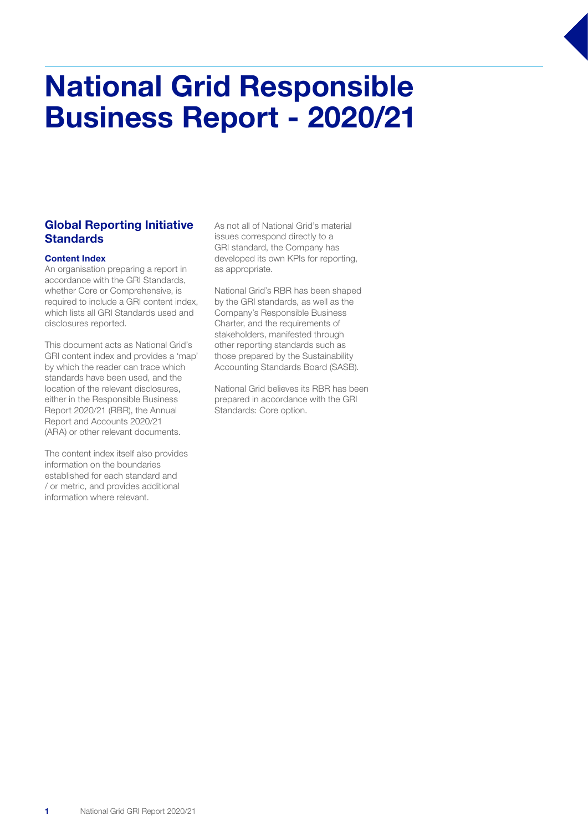# National Grid Responsible Business Report - 2020/21

### Global Reporting Initiative **Standards**

#### Content Index

An organisation preparing a report in accordance with the GRI Standards, whether Core or Comprehensive, is required to include a GRI content index, which lists all GRI Standards used and disclosures reported.

This document acts as National Grid's GRI content index and provides a 'map' by which the reader can trace which standards have been used, and the location of the relevant disclosures, either in the Responsible Business Report 2020/21 (RBR), the Annual Report and Accounts 2020/21 (ARA) or other relevant documents.

The content index itself also provides information on the boundaries established for each standard and / or metric, and provides additional information where relevant.

As not all of National Grid's material issues correspond directly to a GRI standard, the Company has developed its own KPIs for reporting, as appropriate.

National Grid's RBR has been shaped by the GRI standards, as well as the Company's Responsible Business Charter, and the requirements of stakeholders, manifested through other reporting standards such as those prepared by the Sustainability Accounting Standards Board (SASB).

National Grid believes its RBR has been prepared in accordance with the GRI Standards: Core option.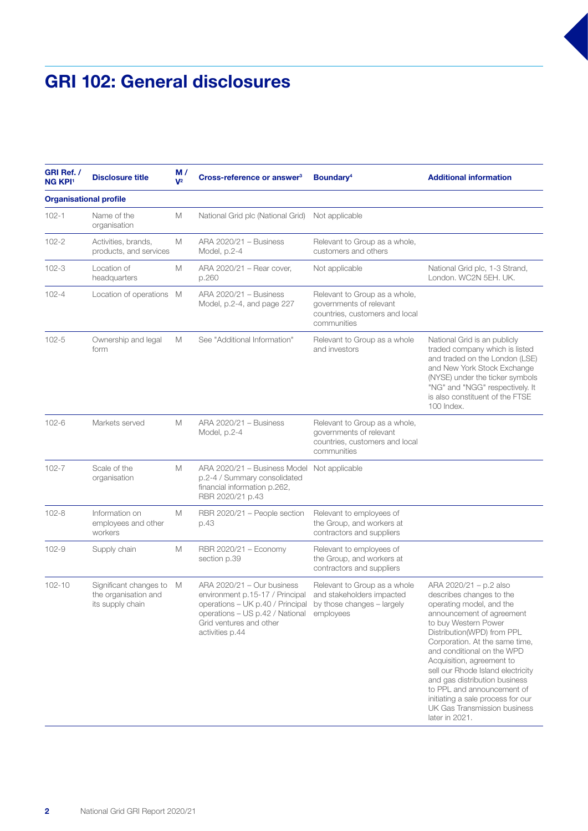### GRI 102: General disclosures

| GRI Ref. /<br><b>NG KPI1</b>  | <b>Disclosure title</b>                                            | M/<br>$V^2$ | Cross-reference or answer <sup>3</sup>                                                                                                                                                                                  | Boundary <sup>4</sup>                                                                                     | <b>Additional information</b>                                                                                                                                                                                                                                                                                                                                                                                                                             |
|-------------------------------|--------------------------------------------------------------------|-------------|-------------------------------------------------------------------------------------------------------------------------------------------------------------------------------------------------------------------------|-----------------------------------------------------------------------------------------------------------|-----------------------------------------------------------------------------------------------------------------------------------------------------------------------------------------------------------------------------------------------------------------------------------------------------------------------------------------------------------------------------------------------------------------------------------------------------------|
| <b>Organisational profile</b> |                                                                    |             |                                                                                                                                                                                                                         |                                                                                                           |                                                                                                                                                                                                                                                                                                                                                                                                                                                           |
| $102 - 1$                     | Name of the<br>organisation                                        | М           | National Grid plc (National Grid)                                                                                                                                                                                       | Not applicable                                                                                            |                                                                                                                                                                                                                                                                                                                                                                                                                                                           |
| $102 - 2$                     | Activities, brands,<br>products, and services                      | M           | ARA 2020/21 - Business<br>Model, p.2-4                                                                                                                                                                                  | Relevant to Group as a whole,<br>customers and others                                                     |                                                                                                                                                                                                                                                                                                                                                                                                                                                           |
| $102 - 3$                     | Location of<br>headquarters                                        | М           | ARA 2020/21 - Rear cover,<br>p.260                                                                                                                                                                                      | Not applicable                                                                                            | National Grid plc, 1-3 Strand,<br>London, WC2N 5EH, UK.                                                                                                                                                                                                                                                                                                                                                                                                   |
| $102 - 4$                     | Location of operations M                                           |             | ARA 2020/21 - Business<br>Model, p.2-4, and page 227                                                                                                                                                                    | Relevant to Group as a whole,<br>governments of relevant<br>countries, customers and local<br>communities |                                                                                                                                                                                                                                                                                                                                                                                                                                                           |
| $102 - 5$                     | Ownership and legal<br>form                                        | M           | See "Additional Information"                                                                                                                                                                                            | Relevant to Group as a whole<br>and investors                                                             | National Grid is an publicly<br>traded company which is listed<br>and traded on the London (LSE)<br>and New York Stock Exchange<br>(NYSE) under the ticker symbols<br>"NG" and "NGG" respectively. It<br>is also constituent of the FTSE<br>100 Index.                                                                                                                                                                                                    |
| $102 - 6$                     | Markets served                                                     | М           | ARA 2020/21 - Business<br>Model, p.2-4                                                                                                                                                                                  | Relevant to Group as a whole,<br>governments of relevant<br>countries, customers and local<br>communities |                                                                                                                                                                                                                                                                                                                                                                                                                                                           |
| $102 - 7$                     | Scale of the<br>organisation                                       | М           | ARA 2020/21 - Business Model Not applicable<br>p.2-4 / Summary consolidated<br>financial information p.262,<br>RBR 2020/21 p.43                                                                                         |                                                                                                           |                                                                                                                                                                                                                                                                                                                                                                                                                                                           |
| $102 - 8$                     | Information on<br>employees and other<br>workers                   | M           | RBR 2020/21 - People section<br>p.43                                                                                                                                                                                    | Relevant to employees of<br>the Group, and workers at<br>contractors and suppliers                        |                                                                                                                                                                                                                                                                                                                                                                                                                                                           |
| $102 - 9$                     | Supply chain                                                       | М           | RBR 2020/21 - Economy<br>section p.39                                                                                                                                                                                   | Relevant to employees of<br>the Group, and workers at<br>contractors and suppliers                        |                                                                                                                                                                                                                                                                                                                                                                                                                                                           |
| $102 - 10$                    | Significant changes to<br>the organisation and<br>its supply chain | M           | ARA 2020/21 - Our business<br>environment p.15-17 / Principal<br>operations - UK p.40 / Principal by those changes - largely<br>operations - US p.42 / National employees<br>Grid ventures and other<br>activities p.44 | Relevant to Group as a whole<br>and stakeholders impacted                                                 | ARA 2020/21 - p.2 also<br>describes changes to the<br>operating model, and the<br>announcement of agreement<br>to buy Western Power<br>Distribution(WPD) from PPL<br>Corporation. At the same time,<br>and conditional on the WPD<br>Acquisition, agreement to<br>sell our Rhode Island electricity<br>and gas distribution business<br>to PPL and announcement of<br>initiating a sale process for our<br>UK Gas Transmission business<br>later in 2021. |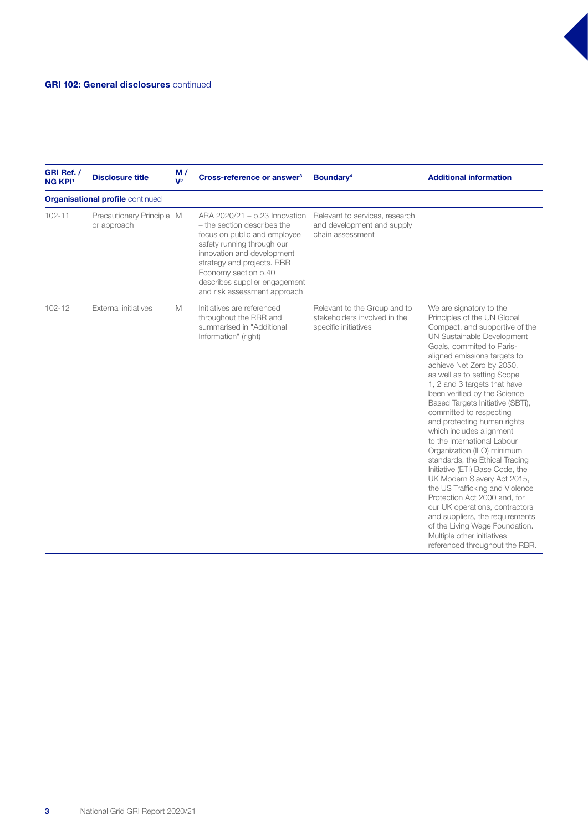| GRI Ref. /<br><b>NG KPI1</b> | <b>Disclosure title</b>                  | M/<br>$V^2$ | Cross-reference or answer <sup>3</sup>                                                                                                                                                                                                                                          | Boundary <sup>4</sup>                                                                | <b>Additional information</b>                                                                                                                                                                                                                                                                                                                                                                                                                                                                                                                                                                                                                                                                                                                                                                                                                        |
|------------------------------|------------------------------------------|-------------|---------------------------------------------------------------------------------------------------------------------------------------------------------------------------------------------------------------------------------------------------------------------------------|--------------------------------------------------------------------------------------|------------------------------------------------------------------------------------------------------------------------------------------------------------------------------------------------------------------------------------------------------------------------------------------------------------------------------------------------------------------------------------------------------------------------------------------------------------------------------------------------------------------------------------------------------------------------------------------------------------------------------------------------------------------------------------------------------------------------------------------------------------------------------------------------------------------------------------------------------|
|                              | <b>Organisational profile continued</b>  |             |                                                                                                                                                                                                                                                                                 |                                                                                      |                                                                                                                                                                                                                                                                                                                                                                                                                                                                                                                                                                                                                                                                                                                                                                                                                                                      |
| $102 - 11$                   | Precautionary Principle M<br>or approach |             | ARA 2020/21 - p.23 Innovation<br>- the section describes the<br>focus on public and employee<br>safety running through our<br>innovation and development<br>strategy and projects. RBR<br>Economy section p.40<br>describes supplier engagement<br>and risk assessment approach | Relevant to services, research<br>and development and supply<br>chain assessment     |                                                                                                                                                                                                                                                                                                                                                                                                                                                                                                                                                                                                                                                                                                                                                                                                                                                      |
| $102 - 12$                   | <b>External initiatives</b>              | M           | Initiatives are referenced<br>throughout the RBR and<br>summarised in "Additional<br>Information" (right)                                                                                                                                                                       | Relevant to the Group and to<br>stakeholders involved in the<br>specific initiatives | We are signatory to the<br>Principles of the UN Global<br>Compact, and supportive of the<br>UN Sustainable Development<br>Goals, commited to Paris-<br>aligned emissions targets to<br>achieve Net Zero by 2050,<br>as well as to setting Scope<br>1, 2 and 3 targets that have<br>been verified by the Science<br>Based Targets Initiative (SBTi),<br>committed to respecting<br>and protecting human rights<br>which includes alignment<br>to the International Labour<br>Organization (ILO) minimum<br>standards, the Ethical Trading<br>Initiative (ETI) Base Code, the<br>UK Modern Slavery Act 2015,<br>the US Trafficking and Violence<br>Protection Act 2000 and, for<br>our UK operations, contractors<br>and suppliers, the requirements<br>of the Living Wage Foundation.<br>Multiple other initiatives<br>referenced throughout the RBR. |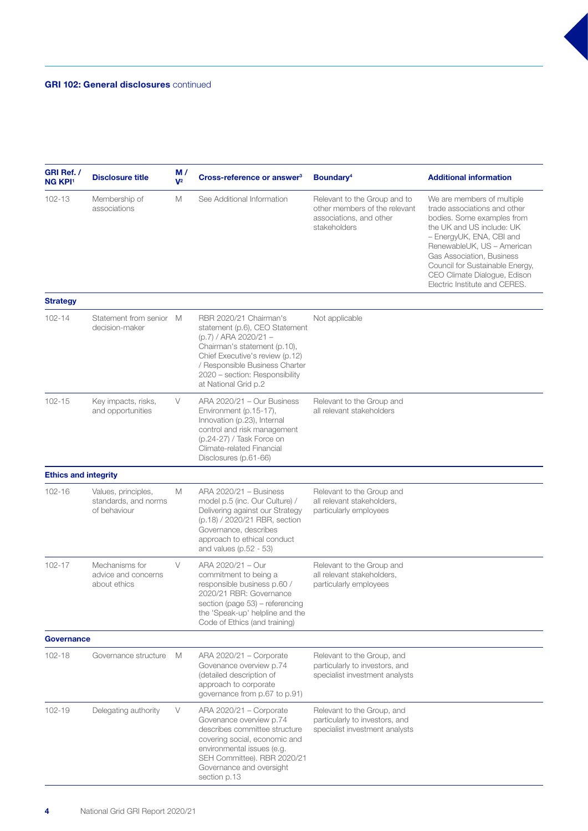| GRI Ref. /<br><b>NG KPI1</b> | <b>Disclosure title</b>                                     | M/<br>$V^2$ | Cross-reference or answer <sup>3</sup>                                                                                                                                                                                                           | Boundary <sup>4</sup>                                                                                    | <b>Additional information</b>                                                                                                                                                                                                                                                                                    |
|------------------------------|-------------------------------------------------------------|-------------|--------------------------------------------------------------------------------------------------------------------------------------------------------------------------------------------------------------------------------------------------|----------------------------------------------------------------------------------------------------------|------------------------------------------------------------------------------------------------------------------------------------------------------------------------------------------------------------------------------------------------------------------------------------------------------------------|
| 102-13                       | Membership of<br>associations                               | М           | See Additional Information                                                                                                                                                                                                                       | Relevant to the Group and to<br>other members of the relevant<br>associations, and other<br>stakeholders | We are members of multiple<br>trade associations and other<br>bodies. Some examples from<br>the UK and US include: UK<br>- EnergyUK, ENA, CBI and<br>RenewableUK, US - American<br>Gas Association, Business<br>Council for Sustainable Energy,<br>CEO Climate Dialoque, Edison<br>Electric Institute and CERES. |
| <b>Strategy</b>              |                                                             |             |                                                                                                                                                                                                                                                  |                                                                                                          |                                                                                                                                                                                                                                                                                                                  |
| $102 - 14$                   | Statement from senior M<br>decision-maker                   |             | RBR 2020/21 Chairman's<br>statement (p.6), CEO Statement<br>(p.7) / ARA 2020/21 -<br>Chairman's statement (p.10),<br>Chief Executive's review (p.12)<br>/ Responsible Business Charter<br>2020 - section: Responsibility<br>at National Grid p.2 | Not applicable                                                                                           |                                                                                                                                                                                                                                                                                                                  |
| $102 - 15$                   | Key impacts, risks,<br>and opportunities                    | V           | ARA 2020/21 - Our Business<br>Environment (p.15-17),<br>Innovation (p.23), Internal<br>control and risk management<br>(p.24-27) / Task Force on<br>Climate-related Financial<br>Disclosures (p.61-66)                                            | Relevant to the Group and<br>all relevant stakeholders                                                   |                                                                                                                                                                                                                                                                                                                  |
| <b>Ethics and integrity</b>  |                                                             |             |                                                                                                                                                                                                                                                  |                                                                                                          |                                                                                                                                                                                                                                                                                                                  |
| $102 - 16$                   | Values, principles,<br>standards, and norms<br>of behaviour | M           | ARA 2020/21 - Business<br>model p.5 (inc. Our Culture) /<br>Delivering against our Strategy<br>(p.18) / 2020/21 RBR, section<br>Governance, describes<br>approach to ethical conduct<br>and values (p. $52 - 53$ )                               | Relevant to the Group and<br>all relevant stakeholders,<br>particularly employees                        |                                                                                                                                                                                                                                                                                                                  |
| $102 - 17$                   | Mechanisms for<br>advice and concerns<br>about ethics       | $\vee$      | ARA 2020/21 - Our<br>commitment to being a<br>responsible business p.60 /<br>2020/21 RBR: Governance<br>section (page 53) - referencing<br>the 'Speak-up' helpline and the<br>Code of Ethics (and training)                                      | Relevant to the Group and<br>all relevant stakeholders,<br>particularly employees                        |                                                                                                                                                                                                                                                                                                                  |
| Governance                   |                                                             |             |                                                                                                                                                                                                                                                  |                                                                                                          |                                                                                                                                                                                                                                                                                                                  |
| $102 - 18$                   | Governance structure                                        | M           | ARA 2020/21 - Corporate<br>Govenance overview p.74<br>(detailed description of<br>approach to corporate<br>governance from p.67 to p.91)                                                                                                         | Relevant to the Group, and<br>particularly to investors, and<br>specialist investment analysts           |                                                                                                                                                                                                                                                                                                                  |
| 102-19                       | Delegating authority                                        | V           | ARA 2020/21 - Corporate<br>Govenance overview p.74<br>describes committee structure<br>covering social, economic and<br>environmental issues (e.g.<br>SEH Committee). RBR 2020/21<br>Governance and oversight<br>section p.13                    | Relevant to the Group, and<br>particularly to investors, and<br>specialist investment analysts           |                                                                                                                                                                                                                                                                                                                  |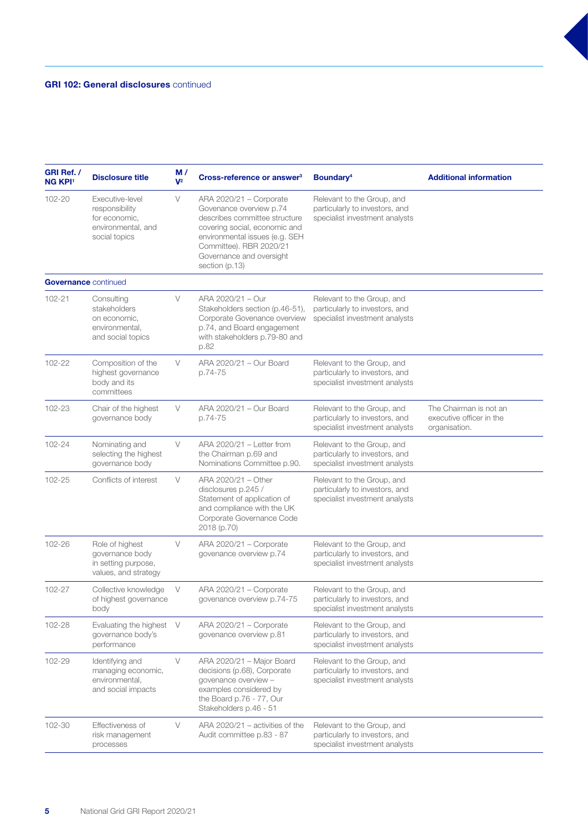| GRI Ref. /<br><b>NG KPI1</b> | <b>Disclosure title</b>                                                                   | M/<br>$V^2$ | Cross-reference or answer <sup>3</sup>                                                                                                                                                                                          | Boundary <sup>4</sup>                                                                          | <b>Additional information</b>                                       |
|------------------------------|-------------------------------------------------------------------------------------------|-------------|---------------------------------------------------------------------------------------------------------------------------------------------------------------------------------------------------------------------------------|------------------------------------------------------------------------------------------------|---------------------------------------------------------------------|
| 102-20                       | Executive-level<br>responsibility<br>for economic,<br>environmental, and<br>social topics | V           | ARA 2020/21 - Corporate<br>Govenance overview p.74<br>describes committee structure<br>covering social, economic and<br>environmental issues (e.g. SEH<br>Committee). RBR 2020/21<br>Governance and oversight<br>section (p.13) | Relevant to the Group, and<br>particularly to investors, and<br>specialist investment analysts |                                                                     |
|                              | <b>Governance continued</b>                                                               |             |                                                                                                                                                                                                                                 |                                                                                                |                                                                     |
| 102-21                       | Consulting<br>stakeholders<br>on economic,<br>environmental,<br>and social topics         | V           | ARA 2020/21 - Our<br>Stakeholders section (p.46-51),<br>Corporate Govenance overview<br>p.74, and Board engagement<br>with stakeholders p.79-80 and<br>p.82                                                                     | Relevant to the Group, and<br>particularly to investors, and<br>specialist investment analysts |                                                                     |
| 102-22                       | Composition of the<br>highest governance<br>body and its<br>committees                    | V           | ARA 2020/21 - Our Board<br>p.74-75                                                                                                                                                                                              | Relevant to the Group, and<br>particularly to investors, and<br>specialist investment analysts |                                                                     |
| 102-23                       | Chair of the highest<br>governance body                                                   | $\vee$      | ARA 2020/21 - Our Board<br>p.74-75                                                                                                                                                                                              | Relevant to the Group, and<br>particularly to investors, and<br>specialist investment analysts | The Chairman is not an<br>executive officer in the<br>organisation. |
| 102-24                       | Nominating and<br>selecting the highest<br>governance body                                | $\vee$      | ARA 2020/21 - Letter from<br>the Chairman p.69 and<br>Nominations Committee p.90.                                                                                                                                               | Relevant to the Group, and<br>particularly to investors, and<br>specialist investment analysts |                                                                     |
| 102-25                       | Conflicts of interest                                                                     | $\vee$      | ARA 2020/21 - Other<br>disclosures p.245 /<br>Statement of application of<br>and compliance with the UK<br>Corporate Governance Code<br>2018 (p.70)                                                                             | Relevant to the Group, and<br>particularly to investors, and<br>specialist investment analysts |                                                                     |
| 102-26                       | Role of highest<br>governance body<br>in setting purpose,<br>values, and strategy         | V           | ARA 2020/21 - Corporate<br>govenance overview p.74                                                                                                                                                                              | Relevant to the Group, and<br>particularly to investors, and<br>specialist investment analysts |                                                                     |
| 102-27                       | Collective knowledge<br>of highest governance<br>body                                     | V           | ARA 2020/21 - Corporate<br>govenance overview p.74-75                                                                                                                                                                           | Relevant to the Group, and<br>particularly to investors, and<br>specialist investment analysts |                                                                     |
| 102-28                       | Evaluating the highest<br>governance body's<br>performance                                | V           | ARA 2020/21 - Corporate<br>govenance overview p.81                                                                                                                                                                              | Relevant to the Group, and<br>particularly to investors, and<br>specialist investment analysts |                                                                     |
| 102-29                       | Identifying and<br>managing economic,<br>environmental,<br>and social impacts             | V           | ARA 2020/21 - Major Board<br>decisions (p.68), Corporate<br>govenance overview -<br>examples considered by<br>the Board p.76 - 77, Our<br>Stakeholders p.46 - 51                                                                | Relevant to the Group, and<br>particularly to investors, and<br>specialist investment analysts |                                                                     |
| 102-30                       | Effectiveness of<br>risk management<br>processes                                          | V           | ARA 2020/21 – activities of the<br>Audit committee p.83 - 87                                                                                                                                                                    | Relevant to the Group, and<br>particularly to investors, and<br>specialist investment analysts |                                                                     |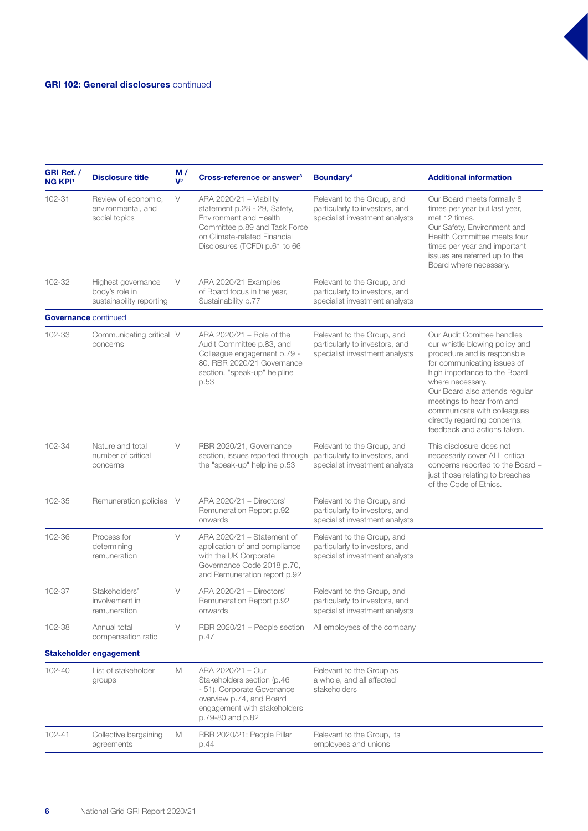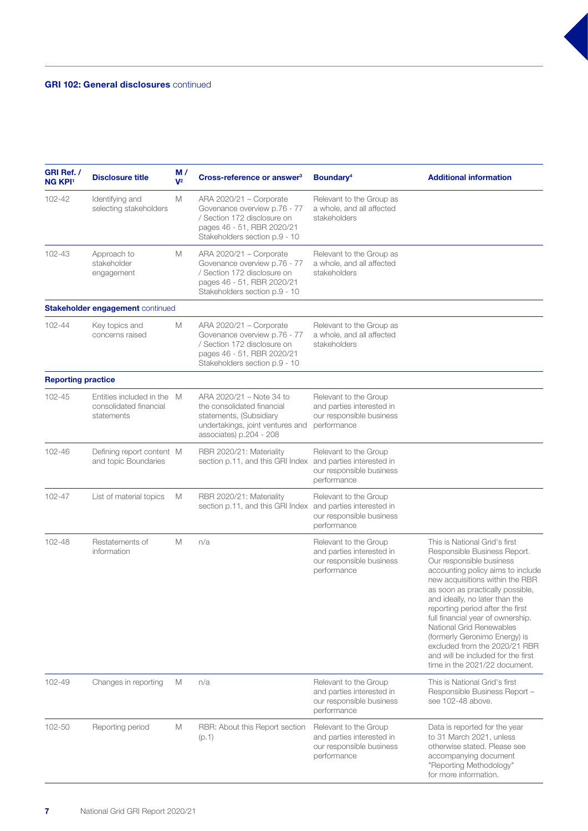| GRI Ref. /<br><b>NG KPI1</b> | <b>Disclosure title</b>                                            | M/<br>$V^2$ | Cross-reference or answer <sup>3</sup>                                                                                                                | Boundary <sup>4</sup>                                                                         | <b>Additional information</b>                                                                                                                                                                                                                                                                                                                                                                                                                                                         |
|------------------------------|--------------------------------------------------------------------|-------------|-------------------------------------------------------------------------------------------------------------------------------------------------------|-----------------------------------------------------------------------------------------------|---------------------------------------------------------------------------------------------------------------------------------------------------------------------------------------------------------------------------------------------------------------------------------------------------------------------------------------------------------------------------------------------------------------------------------------------------------------------------------------|
| 102-42                       | Identifying and<br>selecting stakeholders                          | M           | ARA 2020/21 - Corporate<br>Govenance overview p.76 - 77<br>/ Section 172 disclosure on<br>pages 46 - 51, RBR 2020/21<br>Stakeholders section p.9 - 10 | Relevant to the Group as<br>a whole, and all affected<br>stakeholders                         |                                                                                                                                                                                                                                                                                                                                                                                                                                                                                       |
| 102-43                       | Approach to<br>stakeholder<br>engagement                           | M           | ARA 2020/21 - Corporate<br>Govenance overview p.76 - 77<br>/ Section 172 disclosure on<br>pages 46 - 51, RBR 2020/21<br>Stakeholders section p.9 - 10 | Relevant to the Group as<br>a whole, and all affected<br>stakeholders                         |                                                                                                                                                                                                                                                                                                                                                                                                                                                                                       |
|                              | Stakeholder engagement continued                                   |             |                                                                                                                                                       |                                                                                               |                                                                                                                                                                                                                                                                                                                                                                                                                                                                                       |
| 102-44                       | Key topics and<br>concerns raised                                  | M           | ARA 2020/21 - Corporate<br>Govenance overview p.76 - 77<br>/ Section 172 disclosure on<br>pages 46 - 51, RBR 2020/21<br>Stakeholders section p.9 - 10 | Relevant to the Group as<br>a whole, and all affected<br>stakeholders                         |                                                                                                                                                                                                                                                                                                                                                                                                                                                                                       |
| <b>Reporting practice</b>    |                                                                    |             |                                                                                                                                                       |                                                                                               |                                                                                                                                                                                                                                                                                                                                                                                                                                                                                       |
| 102-45                       | Entities included in the M<br>consolidated financial<br>statements |             | ARA 2020/21 - Note 34 to<br>the consolidated financial<br>statements, (Subsidiary<br>undertakings, joint ventures and<br>associates) p.204 - 208      | Relevant to the Group<br>and parties interested in<br>our responsible business<br>performance |                                                                                                                                                                                                                                                                                                                                                                                                                                                                                       |
| 102-46                       | Defining report content M<br>and topic Boundaries                  |             | RBR 2020/21: Materiality<br>section p.11, and this GRI Index                                                                                          | Relevant to the Group<br>and parties interested in<br>our responsible business<br>performance |                                                                                                                                                                                                                                                                                                                                                                                                                                                                                       |
| 102-47                       | List of material topics                                            | M           | RBR 2020/21: Materiality<br>section p.11, and this GRI Index                                                                                          | Relevant to the Group<br>and parties interested in<br>our responsible business<br>performance |                                                                                                                                                                                                                                                                                                                                                                                                                                                                                       |
| 102-48                       | Restatements of<br>information                                     | M           | n/a                                                                                                                                                   | Relevant to the Group<br>and parties interested in<br>our responsible business<br>performance | This is National Grid's first<br>Responsible Business Report.<br>Our responsible business<br>accounting policy aims to include<br>new acquisitions within the RBR<br>as soon as practically possible,<br>and ideally, no later than the<br>reporting period after the first<br>full financial year of ownership.<br>National Grid Renewables<br>(formerly Geronimo Energy) is<br>excluded from the 2020/21 RBR<br>and will be included for the first<br>time in the 2021/22 document. |
| 102-49                       | Changes in reporting                                               | M           | n/a                                                                                                                                                   | Relevant to the Group<br>and parties interested in<br>our responsible business<br>performance | This is National Grid's first<br>Responsible Business Report -<br>see 102-48 above.                                                                                                                                                                                                                                                                                                                                                                                                   |
| 102-50                       | Reporting period                                                   | M           | RBR: About this Report section<br>(p.1)                                                                                                               | Relevant to the Group<br>and parties interested in<br>our responsible business<br>performance | Data is reported for the year<br>to 31 March 2021, unless<br>otherwise stated. Please see<br>accompanying document<br>"Reporting Methodology"<br>for more information.                                                                                                                                                                                                                                                                                                                |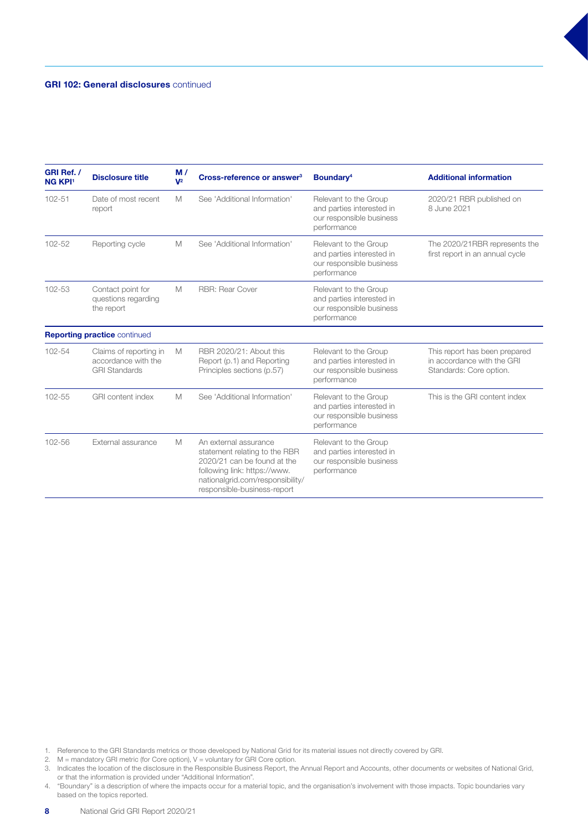| GRI Ref. /<br><b>NG KPI1</b> | <b>Disclosure title</b>                                               | M/<br>$V^2$ | Cross-reference or answer <sup>3</sup>                                                                                                                                                   | Boundary <sup>4</sup>                                                                         | <b>Additional information</b>                                                          |
|------------------------------|-----------------------------------------------------------------------|-------------|------------------------------------------------------------------------------------------------------------------------------------------------------------------------------------------|-----------------------------------------------------------------------------------------------|----------------------------------------------------------------------------------------|
| 102-51                       | Date of most recent<br>report                                         | M           | See 'Additional Information'                                                                                                                                                             | Relevant to the Group<br>and parties interested in<br>our responsible business<br>performance | 2020/21 RBR published on<br>8 June 2021                                                |
| 102-52                       | Reporting cycle                                                       | M           | See 'Additional Information'                                                                                                                                                             | Relevant to the Group<br>and parties interested in<br>our responsible business<br>performance | The 2020/21RBR represents the<br>first report in an annual cycle                       |
| 102-53                       | Contact point for<br>questions regarding<br>the report                | M           | <b>RBR: Rear Cover</b>                                                                                                                                                                   | Relevant to the Group<br>and parties interested in<br>our responsible business<br>performance |                                                                                        |
|                              | <b>Reporting practice continued</b>                                   |             |                                                                                                                                                                                          |                                                                                               |                                                                                        |
| 102-54                       | Claims of reporting in<br>accordance with the<br><b>GRI Standards</b> | M           | RBR 2020/21: About this<br>Report (p.1) and Reporting<br>Principles sections (p.57)                                                                                                      | Relevant to the Group<br>and parties interested in<br>our responsible business<br>performance | This report has been prepared<br>in accordance with the GRI<br>Standards: Core option. |
| $102 - 55$                   | <b>GRI</b> content index                                              | M           | See 'Additional Information'                                                                                                                                                             | Relevant to the Group<br>and parties interested in<br>our responsible business<br>performance | This is the GRI content index                                                          |
| 102-56                       | External assurance                                                    | M           | An external assurance<br>statement relating to the RBR<br>2020/21 can be found at the<br>following link: https://www.<br>nationalgrid.com/responsibility/<br>responsible-business-report | Relevant to the Group<br>and parties interested in<br>our responsible business<br>performance |                                                                                        |

- 1. Reference to the GRI Standards metrics or those developed by National Grid for its material issues not directly covered by GRI.
- 2.  $M =$  mandatory GRI metric (for Core option),  $V =$  voluntary for GRI Core option.

4. "Boundary" is a description of where the impacts occur for a material topic, and the organisation's involvement with those impacts. Topic boundaries vary based on the topics reported.

<sup>3.</sup> Indicates the location of the disclosure in the Responsible Business Report, the Annual Report and Accounts, other documents or websites of National Grid, or that the information is provided under "Additional Information".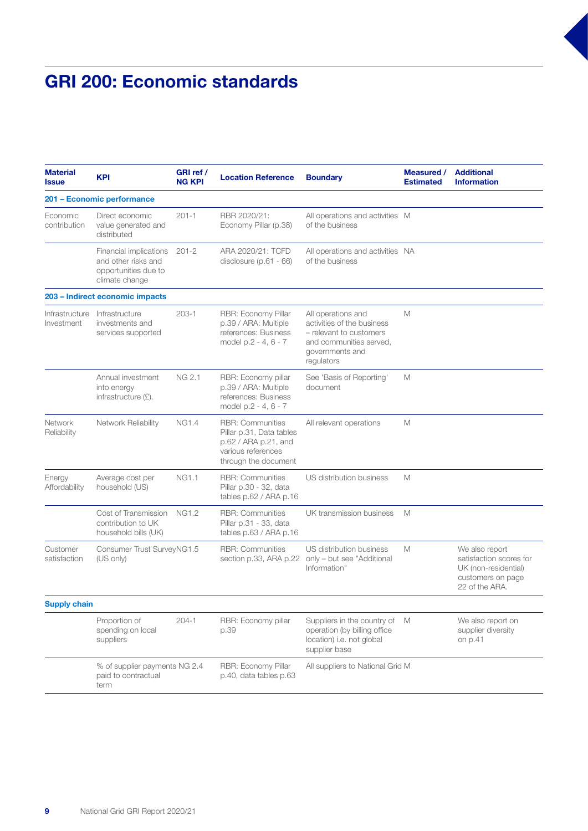### GRI 200: Economic standards

| <b>Material</b><br><b>Issue</b> | <b>KPI</b>                                                                              | GRI ref /<br><b>NG KPI</b> | <b>Location Reference</b>                                                                                                 | <b>Boundary</b>                                                                                                                         | Measured /<br><b>Estimated</b> | <b>Additional</b><br><b>Information</b>                                                                  |
|---------------------------------|-----------------------------------------------------------------------------------------|----------------------------|---------------------------------------------------------------------------------------------------------------------------|-----------------------------------------------------------------------------------------------------------------------------------------|--------------------------------|----------------------------------------------------------------------------------------------------------|
|                                 | 201 - Economic performance                                                              |                            |                                                                                                                           |                                                                                                                                         |                                |                                                                                                          |
| Economic<br>contribution        | Direct economic<br>value generated and<br>distributed                                   | $201 - 1$                  | RBR 2020/21:<br>Economy Pillar (p.38)                                                                                     | All operations and activities M<br>of the business                                                                                      |                                |                                                                                                          |
|                                 | Financial implications<br>and other risks and<br>opportunities due to<br>climate change | $201 - 2$                  | ARA 2020/21: TCFD<br>disclosure $(p.61 - 66)$                                                                             | All operations and activities NA<br>of the business                                                                                     |                                |                                                                                                          |
|                                 | 203 - Indirect economic impacts                                                         |                            |                                                                                                                           |                                                                                                                                         |                                |                                                                                                          |
| Infrastructure<br>Investment    | Infrastructure<br>investments and<br>services supported                                 | $203 - 1$                  | RBR: Economy Pillar<br>p.39 / ARA: Multiple<br>references: Business<br>model p.2 - 4, 6 - 7                               | All operations and<br>activities of the business<br>- relevant to customers<br>and communities served,<br>governments and<br>regulators | M                              |                                                                                                          |
|                                 | Annual investment<br>into energy<br>infrastructure (£).                                 | <b>NG 2.1</b>              | RBR: Economy pillar<br>p.39 / ARA: Multiple<br>references: Business<br>model p.2 - 4, 6 - 7                               | See 'Basis of Reporting'<br>document                                                                                                    | M                              |                                                                                                          |
| Network<br>Reliability          | Network Reliability                                                                     | <b>NG1.4</b>               | <b>RBR: Communities</b><br>Pillar p.31, Data tables<br>p.62 / ARA p.21, and<br>various references<br>through the document | All relevant operations                                                                                                                 | M                              |                                                                                                          |
| Energy<br>Affordability         | Average cost per<br>household (US)                                                      | <b>NG1.1</b>               | <b>RBR: Communities</b><br>Pillar p.30 - 32, data<br>tables p.62 / ARA p.16                                               | US distribution business                                                                                                                | M                              |                                                                                                          |
|                                 | Cost of Transmission<br>contribution to UK<br>household bills (UK)                      | <b>NG1.2</b>               | <b>RBR: Communities</b><br>Pillar p.31 - 33, data<br>tables p.63 / ARA p.16                                               | UK transmission business                                                                                                                | M                              |                                                                                                          |
| Customer<br>satisfaction        | Consumer Trust SurveyNG1.5<br>(US only)                                                 |                            | <b>RBR: Communities</b><br>section p.33, ARA p.22                                                                         | US distribution business<br>only - but see "Additional<br>Information"                                                                  | M                              | We also report<br>satisfaction scores for<br>UK (non-residential)<br>customers on page<br>22 of the ARA. |
| <b>Supply chain</b>             |                                                                                         |                            |                                                                                                                           |                                                                                                                                         |                                |                                                                                                          |
|                                 | Proportion of<br>spending on local<br>suppliers                                         | $204 - 1$                  | RBR: Economy pillar<br>p.39                                                                                               | Suppliers in the country of<br>operation (by billing office<br>location) i.e. not global<br>supplier base                               | M                              | We also report on<br>supplier diversity<br>on p.41                                                       |
|                                 | % of supplier payments NG 2.4<br>paid to contractual<br>term                            |                            | RBR: Economy Pillar<br>p.40, data tables p.63                                                                             | All suppliers to National Grid M                                                                                                        |                                |                                                                                                          |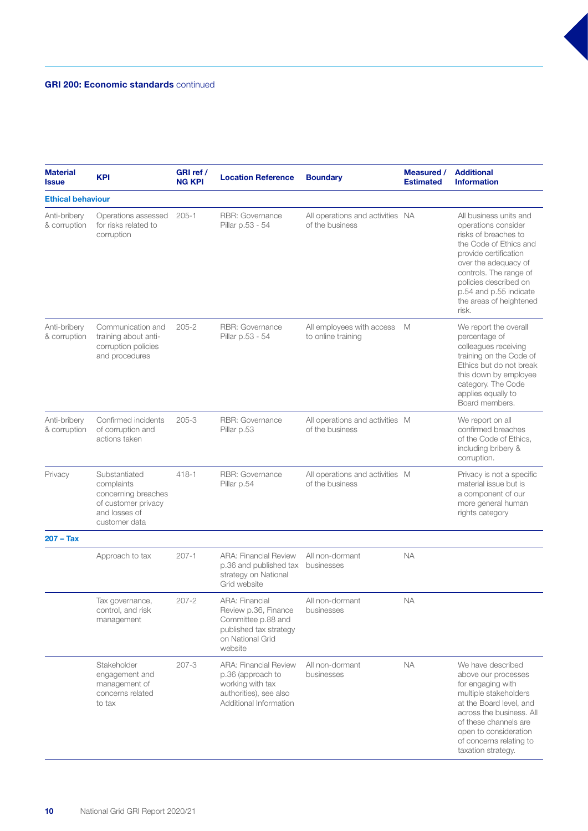#### GRI 200: Economic standards continued

| <b>Material</b><br><b>Issue</b> | <b>KPI</b>                                                                                                  | GRI ref /<br><b>NG KPI</b> | <b>Location Reference</b>                                                                                                    | <b>Boundary</b>                                     | Measured /<br><b>Estimated</b> | <b>Additional</b><br><b>Information</b>                                                                                                                                                                                                                           |
|---------------------------------|-------------------------------------------------------------------------------------------------------------|----------------------------|------------------------------------------------------------------------------------------------------------------------------|-----------------------------------------------------|--------------------------------|-------------------------------------------------------------------------------------------------------------------------------------------------------------------------------------------------------------------------------------------------------------------|
| <b>Ethical behaviour</b>        |                                                                                                             |                            |                                                                                                                              |                                                     |                                |                                                                                                                                                                                                                                                                   |
| Anti-bribery<br>& corruption    | Operations assessed<br>for risks related to<br>corruption                                                   | $205 - 1$                  | RBR: Governance<br>Pillar p.53 - 54                                                                                          | All operations and activities NA<br>of the business |                                | All business units and<br>operations consider<br>risks of breaches to<br>the Code of Ethics and<br>provide certification<br>over the adequacy of<br>controls. The range of<br>policies described on<br>p.54 and p.55 indicate<br>the areas of heightened<br>risk. |
| Anti-bribery<br>& corruption    | Communication and<br>training about anti-<br>corruption policies<br>and procedures                          | $205 - 2$                  | <b>RBR: Governance</b><br>Pillar p.53 - 54                                                                                   | All employees with access<br>to online training     | M                              | We report the overall<br>percentage of<br>colleagues receiving<br>training on the Code of<br>Ethics but do not break<br>this down by employee<br>category. The Code<br>applies equally to<br>Board members.                                                       |
| Anti-bribery<br>& corruption    | Confirmed incidents<br>of corruption and<br>actions taken                                                   | $205 - 3$                  | RBR: Governance<br>Pillar p.53                                                                                               | All operations and activities M<br>of the business  |                                | We report on all<br>confirmed breaches<br>of the Code of Ethics,<br>including bribery &<br>corruption.                                                                                                                                                            |
| Privacy                         | Substantiated<br>complaints<br>concerning breaches<br>of customer privacy<br>and losses of<br>customer data | $418 - 1$                  | RBR: Governance<br>Pillar p.54                                                                                               | All operations and activities M<br>of the business  |                                | Privacy is not a specific<br>material issue but is<br>a component of our<br>more general human<br>rights category                                                                                                                                                 |
| $207 - Tax$                     |                                                                                                             |                            |                                                                                                                              |                                                     |                                |                                                                                                                                                                                                                                                                   |
|                                 | Approach to tax                                                                                             | $207 - 1$                  | <b>ARA: Financial Review</b><br>p.36 and published tax<br>strategy on National<br>Grid website                               | All non-dormant<br>businesses                       | <b>NA</b>                      |                                                                                                                                                                                                                                                                   |
|                                 | Tax governance,<br>control, and risk<br>management                                                          | $207 - 2$                  | <b>ARA: Financial</b><br>Review p.36, Finance<br>Committee p.88 and<br>published tax strategy<br>on National Grid<br>website | All non-dormant<br>businesses                       | NА                             |                                                                                                                                                                                                                                                                   |
|                                 | Stakeholder<br>engagement and<br>management of<br>concerns related<br>to tax                                | $207 - 3$                  | <b>ARA: Financial Review</b><br>p.36 (approach to<br>working with tax<br>authorities), see also<br>Additional Information    | All non-dormant<br>businesses                       | <b>NA</b>                      | We have described<br>above our processes<br>for engaging with<br>multiple stakeholders<br>at the Board level, and<br>across the business. All<br>of these channels are<br>open to consideration<br>of concerns relating to<br>taxation strategy.                  |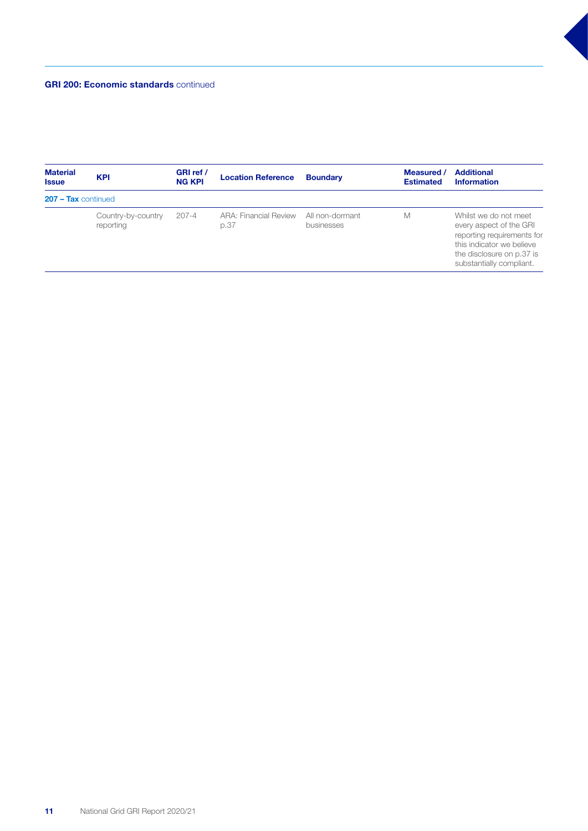#### GRI 200: Economic standards continued

| <b>Material</b><br><b>Issue</b> | <b>KPI</b>                      | GRI ref /<br><b>NG KPI</b> | <b>Location Reference</b>            | <b>Boundary</b>               | Measured /<br><b>Estimated</b> | <b>Additional</b><br><b>Information</b>                                                                                                                              |
|---------------------------------|---------------------------------|----------------------------|--------------------------------------|-------------------------------|--------------------------------|----------------------------------------------------------------------------------------------------------------------------------------------------------------------|
| $207 - Tax$ continued           |                                 |                            |                                      |                               |                                |                                                                                                                                                                      |
|                                 | Country-by-country<br>reporting | $207 - 4$                  | <b>ARA: Financial Review</b><br>p.37 | All non-dormant<br>businesses | M                              | Whilst we do not meet<br>every aspect of the GRI<br>reporting requirements for<br>this indicator we believe<br>the disclosure on p.37 is<br>substantially compliant. |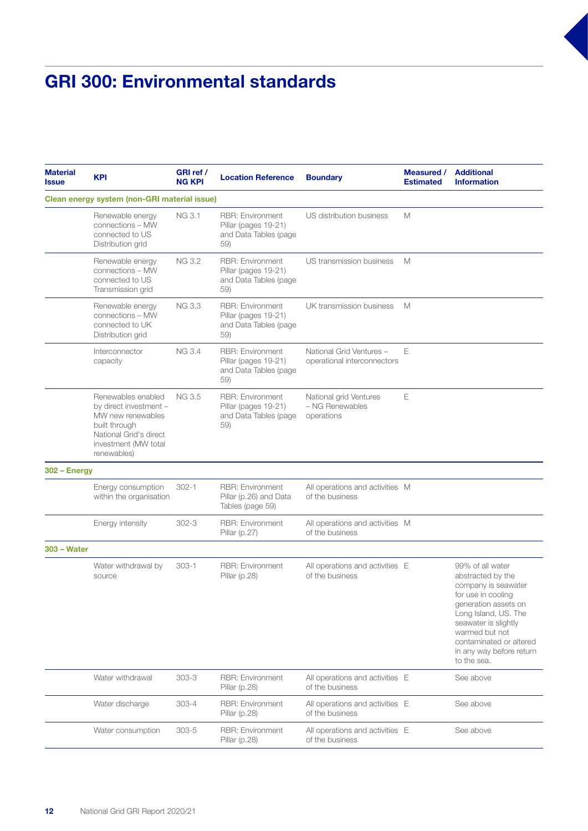## GRI 300: Environmental standards

| <b>Material</b><br><b>Issue</b> | <b>KPI</b>                                                                                                                                          | GRI ref /<br><b>NG KPI</b> | <b>Location Reference</b>                                                       | <b>Boundary</b>                                         | <b>Measured /</b><br><b>Estimated</b> | <b>Additional</b><br><b>Information</b>                                                                                                                                                                                                            |
|---------------------------------|-----------------------------------------------------------------------------------------------------------------------------------------------------|----------------------------|---------------------------------------------------------------------------------|---------------------------------------------------------|---------------------------------------|----------------------------------------------------------------------------------------------------------------------------------------------------------------------------------------------------------------------------------------------------|
|                                 | Clean energy system (non-GRI material issue)                                                                                                        |                            |                                                                                 |                                                         |                                       |                                                                                                                                                                                                                                                    |
|                                 | Renewable energy<br>connections - MW<br>connected to US<br>Distribution grid                                                                        | NG 3.1                     | <b>RBR: Environment</b><br>Pillar (pages 19-21)<br>and Data Tables (page<br>59) | US distribution business                                | M                                     |                                                                                                                                                                                                                                                    |
|                                 | Renewable energy<br>connections - MW<br>connected to US<br>Transmission grid                                                                        | <b>NG 3.2</b>              | <b>RBR: Environment</b><br>Pillar (pages 19-21)<br>and Data Tables (page<br>59) | US transmission business                                | M                                     |                                                                                                                                                                                                                                                    |
|                                 | Renewable energy<br>connections - MW<br>connected to UK<br>Distribution grid                                                                        | NG 3.3                     | <b>RBR: Environment</b><br>Pillar (pages 19-21)<br>and Data Tables (page<br>59) | UK transmission business                                | M                                     |                                                                                                                                                                                                                                                    |
|                                 | Interconnector<br>capacity                                                                                                                          | <b>NG 3.4</b>              | RBR: Environment<br>Pillar (pages 19-21)<br>and Data Tables (page<br>59)        | National Grid Ventures -<br>operational interconnectors | Ε                                     |                                                                                                                                                                                                                                                    |
|                                 | Renewables enabled<br>by direct investment -<br>MW new renewables<br>built through<br>National Grid's direct<br>investment (MW total<br>renewables) | NG 3.5                     | RBR: Environment<br>Pillar (pages 19-21)<br>and Data Tables (page<br>59)        | National grid Ventures<br>- NG Renewables<br>operations | Ε                                     |                                                                                                                                                                                                                                                    |
| $302 - Energy$                  |                                                                                                                                                     |                            |                                                                                 |                                                         |                                       |                                                                                                                                                                                                                                                    |
|                                 | Energy consumption<br>within the organisation                                                                                                       | $302 - 1$                  | <b>RBR: Environment</b><br>Pillar (p.26) and Data<br>Tables (page 59)           | All operations and activities M<br>of the business      |                                       |                                                                                                                                                                                                                                                    |
|                                 | Energy intensity                                                                                                                                    | $302 - 3$                  | <b>RBR: Environment</b><br>Pillar $(p.27)$                                      | All operations and activities M<br>of the business      |                                       |                                                                                                                                                                                                                                                    |
| <b>303 - Water</b>              |                                                                                                                                                     |                            |                                                                                 |                                                         |                                       |                                                                                                                                                                                                                                                    |
|                                 | Water withdrawal by<br>source                                                                                                                       | $303 - 1$                  | <b>RBR: Environment</b><br>Pillar $(p.28)$                                      | All operations and activities E<br>of the business      |                                       | 99% of all water<br>abstracted by the<br>company is seawater<br>for use in cooling<br>generation assets on<br>Long Island, US. The<br>seawater is slightly<br>warmed but not<br>contaminated or altered<br>in any way before return<br>to the sea. |
|                                 | Water withdrawal                                                                                                                                    | $303 - 3$                  | <b>RBR: Environment</b><br>Pillar $(p.28)$                                      | All operations and activities E<br>of the business      |                                       | See above                                                                                                                                                                                                                                          |
|                                 | Water discharge                                                                                                                                     | $303 - 4$                  | <b>RBR: Environment</b><br>Pillar $(p.28)$                                      | All operations and activities E<br>of the business      |                                       | See above                                                                                                                                                                                                                                          |
|                                 | Water consumption                                                                                                                                   | $303 - 5$                  | <b>RBR: Environment</b><br>Pillar (p.28)                                        | All operations and activities E<br>of the business      |                                       | See above                                                                                                                                                                                                                                          |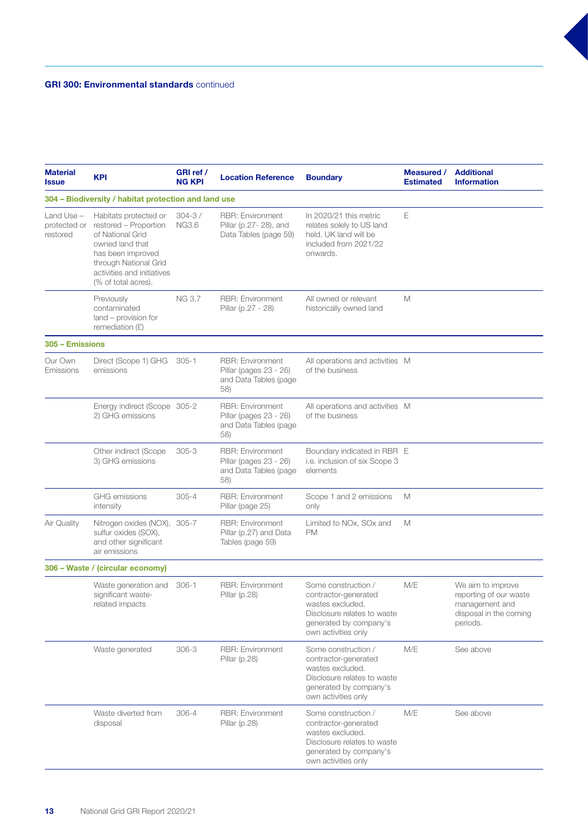#### GRI 300: Environmental standards continued

| <b>Material</b><br><b>Issue</b>        | <b>KPI</b>                                                                                                                                                                               | GRI ref /<br><b>NG KPI</b>  | <b>Location Reference</b>                                                         | <b>Boundary</b>                                                                                                                                 | <b>Measured /</b><br><b>Estimated</b> | <b>Additional</b><br><b>Information</b>                                                             |
|----------------------------------------|------------------------------------------------------------------------------------------------------------------------------------------------------------------------------------------|-----------------------------|-----------------------------------------------------------------------------------|-------------------------------------------------------------------------------------------------------------------------------------------------|---------------------------------------|-----------------------------------------------------------------------------------------------------|
|                                        | 304 – Biodiversity / habitat protection and land use                                                                                                                                     |                             |                                                                                   |                                                                                                                                                 |                                       |                                                                                                     |
| Land Use -<br>protected or<br>restored | Habitats protected or<br>restored - Proportion<br>of National Grid<br>owned land that<br>has been improved<br>through National Grid<br>activities and initiatives<br>(% of total acres). | $304 - 3 /$<br><b>NG3.6</b> | <b>RBR: Environment</b><br>Pillar (p.27-28), and<br>Data Tables (page 59)         | In 2020/21 this metric<br>relates solely to US land<br>held. UK land will be<br>included from 2021/22<br>onwards.                               | Ε                                     |                                                                                                     |
|                                        | Previously<br>contaminated<br>land - provision for<br>remediation $(E)$                                                                                                                  | <b>NG 3.7</b>               | <b>RBR: Environment</b><br>Pillar (p.27 - 28)                                     | All owned or relevant<br>historically owned land                                                                                                | M                                     |                                                                                                     |
| 305 - Emissions                        |                                                                                                                                                                                          |                             |                                                                                   |                                                                                                                                                 |                                       |                                                                                                     |
| Our Own<br>Emissions                   | Direct (Scope 1) GHG<br>emissions                                                                                                                                                        | $305 - 1$                   | <b>RBR: Environment</b><br>Pillar (pages 23 - 26)<br>and Data Tables (page<br>58) | All operations and activities M<br>of the business                                                                                              |                                       |                                                                                                     |
|                                        | Energy indirect (Scope 305-2<br>2) GHG emissions                                                                                                                                         |                             | <b>RBR: Environment</b><br>Pillar (pages 23 - 26)<br>and Data Tables (page<br>58) | All operations and activities M<br>of the business                                                                                              |                                       |                                                                                                     |
|                                        | Other indirect (Scope<br>3) GHG emissions                                                                                                                                                | $305 - 3$                   | <b>RBR: Environment</b><br>Pillar (pages 23 - 26)<br>and Data Tables (page<br>58) | Boundary indicated in RBR E<br>i.e. inclusion of six Scope 3<br>elements                                                                        |                                       |                                                                                                     |
|                                        | <b>GHG</b> emissions<br>intensity                                                                                                                                                        | $305 - 4$                   | <b>RBR: Environment</b><br>Pillar (page 25)                                       | Scope 1 and 2 emissions<br>only                                                                                                                 | M                                     |                                                                                                     |
| Air Quality                            | Nitrogen oxides (NOX), 305-7<br>sulfur oxides (SOX),<br>and other significant<br>air emissions                                                                                           |                             | <b>RBR: Environment</b><br>Pillar (p.27) and Data<br>Tables (page 59)             | Limited to NOx, SOx and<br><b>PM</b>                                                                                                            | M                                     |                                                                                                     |
|                                        | 306 - Waste / (circular economy)                                                                                                                                                         |                             |                                                                                   |                                                                                                                                                 |                                       |                                                                                                     |
|                                        | Waste generation and<br>significant waste-<br>related impacts                                                                                                                            | $306 - 1$                   | <b>RBR: Environment</b><br>Pillar $(p.28)$                                        | Some construction /<br>contractor-generated<br>wastes excluded.<br>Disclosure relates to waste<br>generated by company's<br>own activities only | M/E                                   | We aim to improve<br>reporting of our waste<br>management and<br>disposal in the coming<br>periods. |
|                                        | Waste generated                                                                                                                                                                          | $306 - 3$                   | <b>RBR: Environment</b><br>Pillar $(p.28)$                                        | Some construction /<br>contractor-generated<br>wastes excluded.<br>Disclosure relates to waste<br>generated by company's<br>own activities only | M/E                                   | See above                                                                                           |
|                                        | Waste diverted from<br>disposal                                                                                                                                                          | $306 - 4$                   | <b>RBR: Environment</b><br>Pillar $(p.28)$                                        | Some construction /<br>contractor-generated<br>wastes excluded.<br>Disclosure relates to waste<br>generated by company's<br>own activities only | M/E                                   | See above                                                                                           |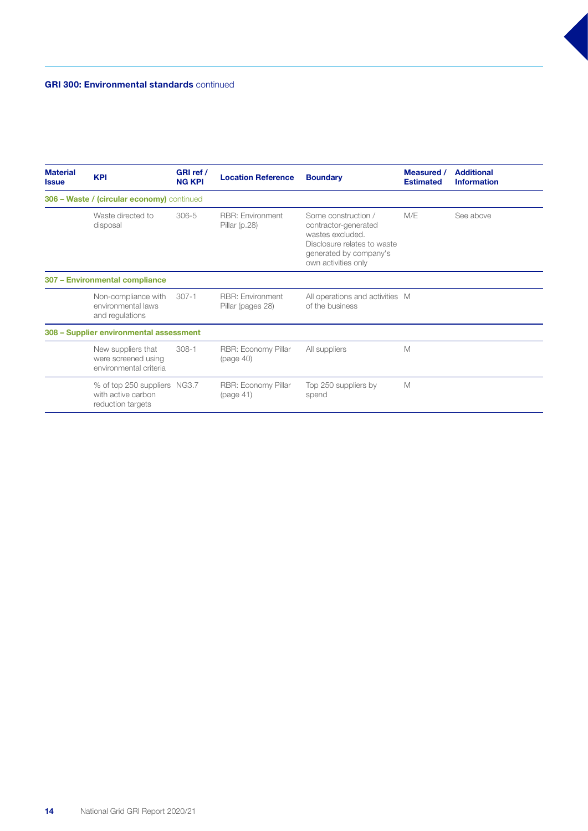#### GRI 300: Environmental standards continued

| <b>Material</b><br><b>Issue</b> | <b>KPI</b>                                                              | GRI ref /<br><b>NG KPI</b> | <b>Location Reference</b>                    | <b>Boundary</b>                                                                                                                                 | Measured /<br><b>Estimated</b> | <b>Additional</b><br><b>Information</b> |
|---------------------------------|-------------------------------------------------------------------------|----------------------------|----------------------------------------------|-------------------------------------------------------------------------------------------------------------------------------------------------|--------------------------------|-----------------------------------------|
|                                 | 306 - Waste / (circular economy) continued                              |                            |                                              |                                                                                                                                                 |                                |                                         |
|                                 | Waste directed to<br>disposal                                           | $306 - 5$                  | <b>RBR: Environment</b><br>Pillar $(p.28)$   | Some construction /<br>contractor-generated<br>wastes excluded.<br>Disclosure relates to waste<br>generated by company's<br>own activities only | M/E                            | See above                               |
|                                 | 307 - Environmental compliance                                          |                            |                                              |                                                                                                                                                 |                                |                                         |
|                                 | Non-compliance with<br>environmental laws<br>and regulations            | $307 - 1$                  | <b>RBR: Environment</b><br>Pillar (pages 28) | All operations and activities M<br>of the business                                                                                              |                                |                                         |
|                                 | 308 - Supplier environmental assessment                                 |                            |                                              |                                                                                                                                                 |                                |                                         |
|                                 | New suppliers that<br>were screened using<br>environmental criteria     | $308 - 1$                  | RBR: Economy Pillar<br>(page 40)             | All suppliers                                                                                                                                   | M                              |                                         |
|                                 | % of top 250 suppliers NG3.7<br>with active carbon<br>reduction targets |                            | RBR: Economy Pillar<br>(page 41)             | Top 250 suppliers by<br>spend                                                                                                                   | M                              |                                         |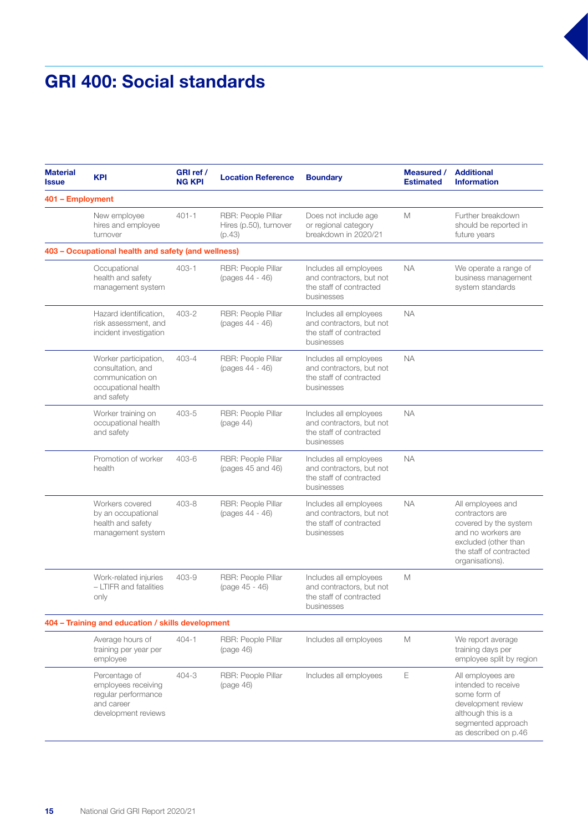### GRI 400: Social standards

| <b>Material</b><br><b>Issue</b> | <b>KPI</b>                                                                                          | GRI ref /<br><b>NG KPI</b> | <b>Location Reference</b>                              | <b>Boundary</b>                                                                             | Measured /<br><b>Estimated</b> | <b>Additional</b><br><b>Information</b>                                                                                                                   |
|---------------------------------|-----------------------------------------------------------------------------------------------------|----------------------------|--------------------------------------------------------|---------------------------------------------------------------------------------------------|--------------------------------|-----------------------------------------------------------------------------------------------------------------------------------------------------------|
| 401 - Employment                |                                                                                                     |                            |                                                        |                                                                                             |                                |                                                                                                                                                           |
|                                 | New employee<br>hires and employee<br>turnover                                                      | $401 - 1$                  | RBR: People Pillar<br>Hires (p.50), turnover<br>(p.43) | Does not include age<br>or regional category<br>breakdown in 2020/21                        | M                              | Further breakdown<br>should be reported in<br>future years                                                                                                |
|                                 | 403 - Occupational health and safety (and wellness)                                                 |                            |                                                        |                                                                                             |                                |                                                                                                                                                           |
|                                 | Occupational<br>health and safety<br>management system                                              | $403 - 1$                  | RBR: People Pillar<br>(pages 44 - 46)                  | Includes all employees<br>and contractors, but not<br>the staff of contracted<br>businesses | <b>NA</b>                      | We operate a range of<br>business management<br>system standards                                                                                          |
|                                 | Hazard identification,<br>risk assessment, and<br>incident investigation                            | $403 - 2$                  | RBR: People Pillar<br>(pages 44 - 46)                  | Includes all employees<br>and contractors, but not<br>the staff of contracted<br>businesses | <b>NA</b>                      |                                                                                                                                                           |
|                                 | Worker participation,<br>consultation, and<br>communication on<br>occupational health<br>and safety | $403 - 4$                  | RBR: People Pillar<br>(pages 44 - 46)                  | Includes all employees<br>and contractors, but not<br>the staff of contracted<br>businesses | <b>NA</b>                      |                                                                                                                                                           |
|                                 | Worker training on<br>occupational health<br>and safety                                             | 403-5                      | RBR: People Pillar<br>(page 44)                        | Includes all employees<br>and contractors, but not<br>the staff of contracted<br>businesses | <b>NA</b>                      |                                                                                                                                                           |
|                                 | Promotion of worker<br>health                                                                       | 403-6                      | RBR: People Pillar<br>(pages 45 and 46)                | Includes all employees<br>and contractors, but not<br>the staff of contracted<br>businesses | <b>NA</b>                      |                                                                                                                                                           |
|                                 | Workers covered<br>by an occupational<br>health and safety<br>management system                     | 403-8                      | RBR: People Pillar<br>(pages 44 - 46)                  | Includes all employees<br>and contractors, but not<br>the staff of contracted<br>businesses | <b>NA</b>                      | All employees and<br>contractors are<br>covered by the system<br>and no workers are<br>excluded (other than<br>the staff of contracted<br>organisations). |
|                                 | Work-related injuries<br>- LTIFR and fatalities<br>only                                             | 403-9                      | RBR: People Pillar<br>(page 45 - 46)                   | Includes all employees<br>and contractors, but not<br>the staff of contracted<br>businesses | M                              |                                                                                                                                                           |
|                                 | 404 - Training and education / skills development                                                   |                            |                                                        |                                                                                             |                                |                                                                                                                                                           |
|                                 | Average hours of<br>training per year per<br>employee                                               | $404 - 1$                  | RBR: People Pillar<br>(page 46)                        | Includes all employees                                                                      | M                              | We report average<br>training days per<br>employee split by region                                                                                        |
|                                 | Percentage of<br>employees receiving<br>reqular performance<br>and career<br>development reviews    | 404-3                      | RBR: People Pillar<br>(page 46)                        | Includes all employees                                                                      | E                              | All employees are<br>intended to receive<br>some form of<br>development review<br>although this is a<br>segmented approach<br>as described on p.46        |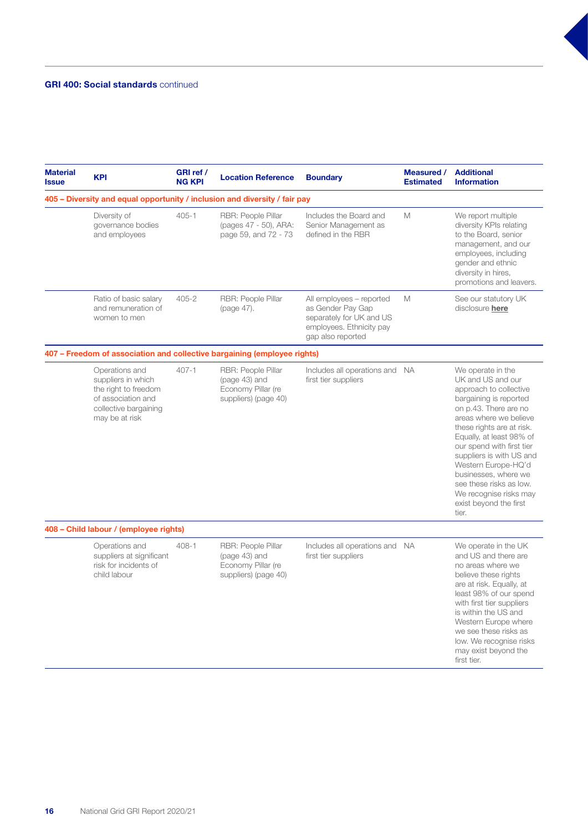#### GRI 400: Social standards continued

| <b>Material</b><br><b>Issue</b> | <b>KPI</b>                                                                                                                    | GRI ref /<br><b>NG KPI</b> | <b>Location Reference</b>                                                         | <b>Boundary</b>                                                                                                            | Measured /<br><b>Estimated</b> | <b>Additional</b><br><b>Information</b>                                                                                                                                                                                                                                                                                                                                                                |  |  |
|---------------------------------|-------------------------------------------------------------------------------------------------------------------------------|----------------------------|-----------------------------------------------------------------------------------|----------------------------------------------------------------------------------------------------------------------------|--------------------------------|--------------------------------------------------------------------------------------------------------------------------------------------------------------------------------------------------------------------------------------------------------------------------------------------------------------------------------------------------------------------------------------------------------|--|--|
|                                 | 405 – Diversity and equal opportunity / inclusion and diversity / fair pay                                                    |                            |                                                                                   |                                                                                                                            |                                |                                                                                                                                                                                                                                                                                                                                                                                                        |  |  |
|                                 | Diversity of<br>governance bodies<br>and employees                                                                            | $405 - 1$                  | RBR: People Pillar<br>(pages 47 - 50), ARA:<br>page 59, and 72 - 73               | Includes the Board and<br>Senior Management as<br>defined in the RBR                                                       | M                              | We report multiple<br>diversity KPIs relating<br>to the Board, senior<br>management, and our<br>employees, including<br>gender and ethnic<br>diversity in hires,<br>promotions and leavers.                                                                                                                                                                                                            |  |  |
|                                 | Ratio of basic salary<br>and remuneration of<br>women to men                                                                  | $405 - 2$                  | RBR: People Pillar<br>(page 47).                                                  | All employees - reported<br>as Gender Pay Gap<br>separately for UK and US<br>employees. Ethnicity pay<br>gap also reported | M                              | See our statutory UK<br>disclosure here                                                                                                                                                                                                                                                                                                                                                                |  |  |
|                                 |                                                                                                                               |                            | 407 – Freedom of association and collective bargaining (employee rights)          |                                                                                                                            |                                |                                                                                                                                                                                                                                                                                                                                                                                                        |  |  |
|                                 | Operations and<br>suppliers in which<br>the right to freedom<br>of association and<br>collective bargaining<br>may be at risk | $407 - 1$                  | RBR: People Pillar<br>(page 43) and<br>Economy Pillar (re<br>suppliers) (page 40) | Includes all operations and NA<br>first tier suppliers                                                                     |                                | We operate in the<br>UK and US and our<br>approach to collective<br>bargaining is reported<br>on p.43. There are no<br>areas where we believe<br>these rights are at risk.<br>Equally, at least 98% of<br>our spend with first tier<br>suppliers is with US and<br>Western Europe-HQ'd<br>businesses, where we<br>see these risks as low.<br>We recognise risks may<br>exist beyond the first<br>tier. |  |  |
|                                 | 408 - Child labour / (employee rights)                                                                                        |                            |                                                                                   |                                                                                                                            |                                |                                                                                                                                                                                                                                                                                                                                                                                                        |  |  |
|                                 | Operations and<br>suppliers at significant<br>risk for incidents of<br>child labour                                           | $408 - 1$                  | RBR: People Pillar<br>(page 43) and<br>Economy Pillar (re<br>suppliers) (page 40) | Includes all operations and NA<br>first tier suppliers                                                                     |                                | We operate in the UK<br>and US and there are<br>no areas where we<br>believe these rights<br>are at risk. Equally, at<br>least 98% of our spend<br>with first tier suppliers<br>is within the US and<br>Western Europe where<br>we see these risks as<br>low. We recognise risks<br>may exist beyond the<br>first tier.                                                                                |  |  |